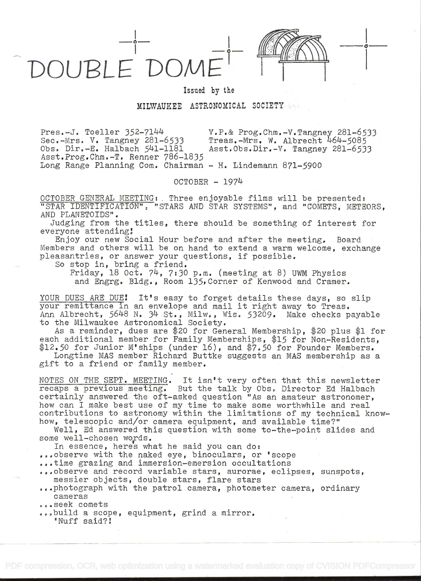OUBLE DON

Issued by the

## MILWAUKEE ASTRONOMICAL SOCIETY

Pres.-J. Toeller 352711I4 v.p.& Prog.Chm.-.V.Tangney 281-6533 Sec.-Mrs. V. Tangney 281-6533 Treas.-Mrs. W. Albrecht 464-5085<br>Obs. Dir.-E. Halbach 541-1181 Asst.Obs.Dir.-V. Tangney 281-653 Asst.Obs.Dir.-V. Tangney 281-6533 Asst.Prog.Chm.-T. Renner 786-1835 Long Range Planning Com. Chairman – H. Lindemann 871–5900

OCTOBER - 1974

OCTOBER GENERAL MEETING: Three enjoyable films will be presented: "STAR IDENTIFICATION", "STARS AND STAR SYSTEMS", arid "COMETS, METEORS, AND PLANETOIDS".

Judging from the titles, there should be something of interest for everyone attending!

Enjoy our new Social Hour before and after the meeting. Board Members and others will be on hand to extend a warm welcome, exchange pleasantries, or answer your questions, if possible.

So stop in, bring a friend.

Friday, 18 Oct.  $74$ ,  $7:30$  p.m. (meeting at 8) UWM Physics and Engrg. Bldg., Room 135,Corner of Kenwood and Cramer.

YOUR DUES ARE DUE! It's easy to forget details these days, so slip your remittance in an envelope and mail it right away to Treas. Ann Albrecht, 5648 N. 34 St., Milw., Wis. 53209. Make checks payable to the Milwaukee Astronomical Society.

As a reminder, dues are \$20 for General Membership, \$20 plus \$1 for each additional member for Family Memberships, \$15 for Non-Residents, \$12.50 for Junior M'ships (under 16), and \$7.50 for Founder Members. Longtime MAS member Richard Buttke suggests an MAS membership as a

gift to a friend or family member.

NOTES ON THE SEPT. MEETING. It isn't very often that this newsletter recaps a previous meeting. But the talk by Obs. Director Ed Halbach certainly answered. the oft-asked question "As an amateur astronomer, how can I make best use of my time to make some worthwhile and real contributions to astronomy within the limitations of my technical knowhow, telescopic and/or camera equipment, and available time?"

Well, Ed answered this question with some to-the-point slides and some well-chosen words.

In essence, heres what he said you can do:

- ...observe with the naked eye, binoculars, or 'scope
- .4.time grazing and immersion-emersion occultations
- ..,,observe and record variable stars, aurorae, eclipses, sunspots, messier objects, double stars, flare stars

...photograph with the patrol camera, photometer camera, ordinary cameras

...seek comets

..build a scope, equipment, grind a mirror. 'Nuff said?